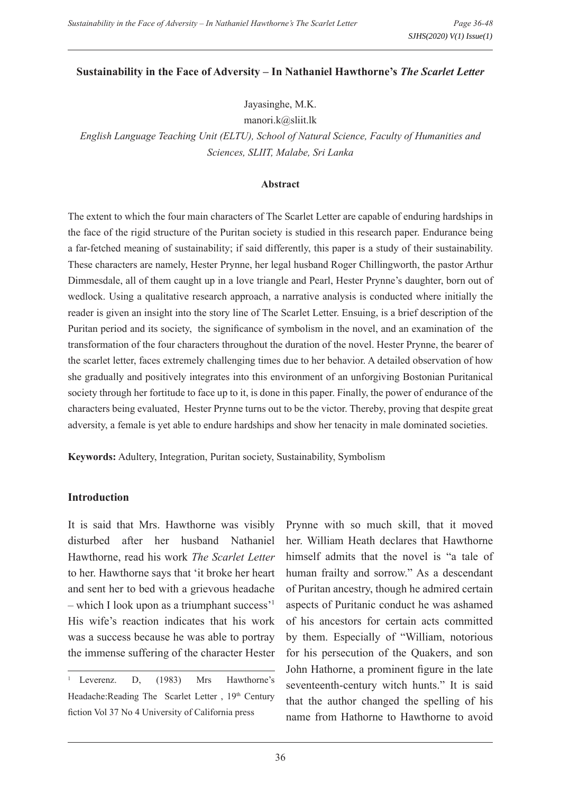#### **Sustainability in the Face of Adversity – In Nathaniel Hawthorne's** *The Scarlet Letter*

Jayasinghe, M.K.

manori.k@sliit.lk

*English Language Teaching Unit (ELTU), School of Natural Science, Faculty of Humanities and Sciences, SLIIT, Malabe, Sri Lanka*

#### **Abstract**

The extent to which the four main characters of The Scarlet Letter are capable of enduring hardships in the face of the rigid structure of the Puritan society is studied in this research paper. Endurance being a far-fetched meaning of sustainability; if said differently, this paper is a study of their sustainability. These characters are namely, Hester Prynne, her legal husband Roger Chillingworth, the pastor Arthur Dimmesdale, all of them caught up in a love triangle and Pearl, Hester Prynne's daughter, born out of wedlock. Using a qualitative research approach, a narrative analysis is conducted where initially the reader is given an insight into the story line of The Scarlet Letter. Ensuing, is a brief description of the Puritan period and its society, the significance of symbolism in the novel, and an examination of the transformation of the four characters throughout the duration of the novel. Hester Prynne, the bearer of the scarlet letter, faces extremely challenging times due to her behavior. A detailed observation of how she gradually and positively integrates into this environment of an unforgiving Bostonian Puritanical society through her fortitude to face up to it, is done in this paper. Finally, the power of endurance of the characters being evaluated, Hester Prynne turns out to be the victor. Thereby, proving that despite great adversity, a female is yet able to endure hardships and show her tenacity in male dominated societies.

**Keywords:** Adultery, Integration, Puritan society, Sustainability, Symbolism

### **Introduction**

It is said that Mrs. Hawthorne was visibly disturbed after her husband Nathaniel Hawthorne, read his work *The Scarlet Letter* to her. Hawthorne says that 'it broke her heart and sent her to bed with a grievous headache – which I look upon as a triumphant success'1 His wife's reaction indicates that his work was a success because he was able to portray the immense suffering of the character Hester

Prynne with so much skill, that it moved her. William Heath declares that Hawthorne himself admits that the novel is "a tale of human frailty and sorrow." As a descendant of Puritan ancestry, though he admired certain aspects of Puritanic conduct he was ashamed of his ancestors for certain acts committed by them. Especially of "William, notorious for his persecution of the Quakers, and son John Hathorne, a prominent figure in the late seventeenth-century witch hunts." It is said that the author changed the spelling of his name from Hathorne to Hawthorne to avoid

<sup>&</sup>lt;sup>1</sup> Leverenz. D, (1983) Mrs Hawthorne's Headache:Reading The Scarlet Letter, 19th Century fiction Vol 37 No 4 University of California press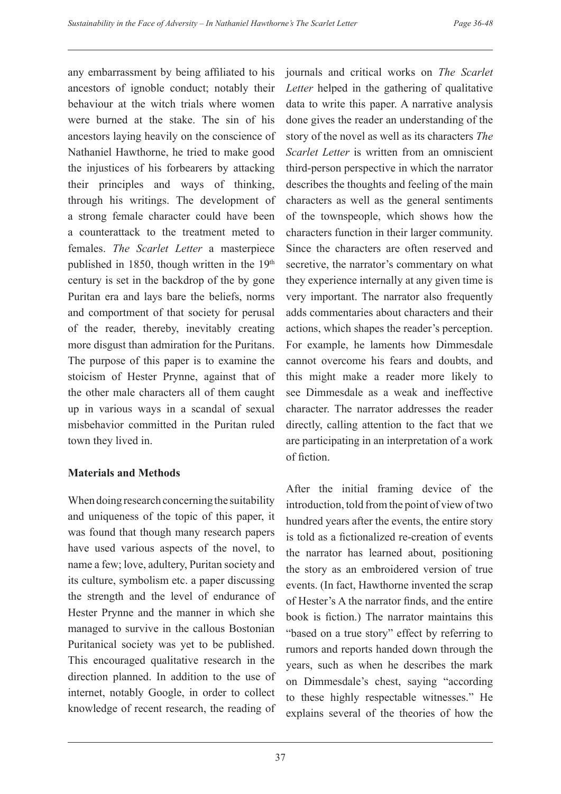any embarrassment by being affiliated to his ancestors of ignoble conduct; notably their behaviour at the witch trials where women were burned at the stake. The sin of his ancestors laying heavily on the conscience of Nathaniel Hawthorne, he tried to make good the injustices of his forbearers by attacking their principles and ways of thinking, through his writings. The development of a strong female character could have been a counterattack to the treatment meted to females. *The Scarlet Letter* a masterpiece published in 1850, though written in the 19<sup>th</sup> century is set in the backdrop of the by gone Puritan era and lays bare the beliefs, norms and comportment of that society for perusal of the reader, thereby, inevitably creating more disgust than admiration for the Puritans. The purpose of this paper is to examine the stoicism of Hester Prynne, against that of the other male characters all of them caught up in various ways in a scandal of sexual misbehavior committed in the Puritan ruled town they lived in.

## **Materials and Methods**

When doing research concerning the suitability and uniqueness of the topic of this paper, it was found that though many research papers have used various aspects of the novel, to name a few; love, adultery, Puritan society and its culture, symbolism etc. a paper discussing the strength and the level of endurance of Hester Prynne and the manner in which she managed to survive in the callous Bostonian Puritanical society was yet to be published. This encouraged qualitative research in the direction planned. In addition to the use of internet, notably Google, in order to collect knowledge of recent research, the reading of

journals and critical works on *The Scarlet Letter* helped in the gathering of qualitative data to write this paper. A narrative analysis done gives the reader an understanding of the story of the novel as well as its characters *The Scarlet Letter* is written from an omniscient third-person perspective in which the narrator describes the thoughts and feeling of the main characters as well as the general sentiments of the townspeople, which shows how the characters function in their larger community. Since the characters are often reserved and secretive, the narrator's commentary on what they experience internally at any given time is very important. The narrator also frequently adds commentaries about characters and their actions, which shapes the reader's perception. For example, he laments how Dimmesdale cannot overcome his fears and doubts, and this might make a reader more likely to see Dimmesdale as a weak and ineffective character. The narrator addresses the reader directly, calling attention to the fact that we are participating in an interpretation of a work of fiction.

After the initial framing device of the introduction, told from the point of view of two hundred years after the events, the entire story is told as a fictionalized re-creation of events the narrator has learned about, positioning the story as an embroidered version of true events. (In fact, Hawthorne invented the scrap of Hester's A the narrator finds, and the entire book is fiction.) The narrator maintains this "based on a true story" effect by referring to rumors and reports handed down through the years, such as when he describes the mark on Dimmesdale's chest, saying "according to these highly respectable witnesses." He explains several of the theories of how the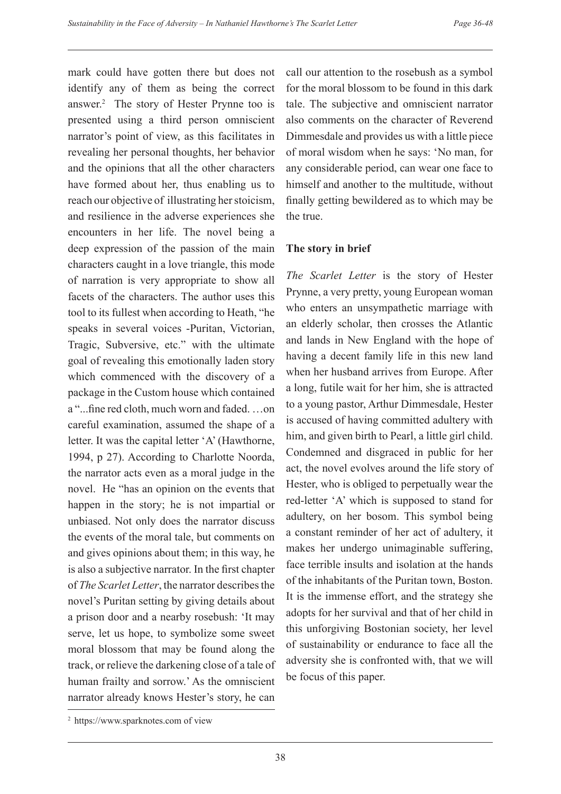mark could have gotten there but does not identify any of them as being the correct answer.2 The story of Hester Prynne too is presented using a third person omniscient narrator's point of view, as this facilitates in revealing her personal thoughts, her behavior and the opinions that all the other characters have formed about her, thus enabling us to reach our objective of illustrating her stoicism, and resilience in the adverse experiences she encounters in her life. The novel being a deep expression of the passion of the main characters caught in a love triangle, this mode of narration is very appropriate to show all facets of the characters. The author uses this tool to its fullest when according to Heath, "he speaks in several voices -Puritan, Victorian, Tragic, Subversive, etc." with the ultimate goal of revealing this emotionally laden story which commenced with the discovery of a package in the Custom house which contained a "...fine red cloth, much worn and faded. …on careful examination, assumed the shape of a letter. It was the capital letter 'A' (Hawthorne, 1994, p 27). According to Charlotte Noorda, the narrator acts even as a moral judge in the novel. He "has an opinion on the events that happen in the story; he is not impartial or unbiased. Not only does the narrator discuss the events of the moral tale, but comments on and gives opinions about them; in this way, he is also a subjective narrator. In the first chapter of *The Scarlet Letter*, the narrator describes the novel's Puritan setting by giving details about a prison door and a nearby rosebush: 'It may serve, let us hope, to symbolize some sweet moral blossom that may be found along the track, or relieve the darkening close of a tale of human frailty and sorrow.' As the omniscient narrator already knows Hester's story, he can

call our attention to the rosebush as a symbol for the moral blossom to be found in this dark tale. The subjective and omniscient narrator also comments on the character of Reverend Dimmesdale and provides us with a little piece of moral wisdom when he says: 'No man, for any considerable period, can wear one face to himself and another to the multitude, without finally getting bewildered as to which may be the true.

## **The story in brief**

*The Scarlet Letter* is the story of Hester Prynne, a very pretty, young European woman who enters an unsympathetic marriage with an elderly scholar, then crosses the Atlantic and lands in New England with the hope of having a decent family life in this new land when her husband arrives from Europe. After a long, futile wait for her him, she is attracted to a young pastor, Arthur Dimmesdale, Hester is accused of having committed adultery with him, and given birth to Pearl, a little girl child. Condemned and disgraced in public for her act, the novel evolves around the life story of Hester, who is obliged to perpetually wear the red-letter 'A' which is supposed to stand for adultery, on her bosom. This symbol being a constant reminder of her act of adultery, it makes her undergo unimaginable suffering, face terrible insults and isolation at the hands of the inhabitants of the Puritan town, Boston. It is the immense effort, and the strategy she adopts for her survival and that of her child in this unforgiving Bostonian society, her level of sustainability or endurance to face all the adversity she is confronted with, that we will be focus of this paper.

<sup>&</sup>lt;sup>2</sup> https://www.sparknotes.com of view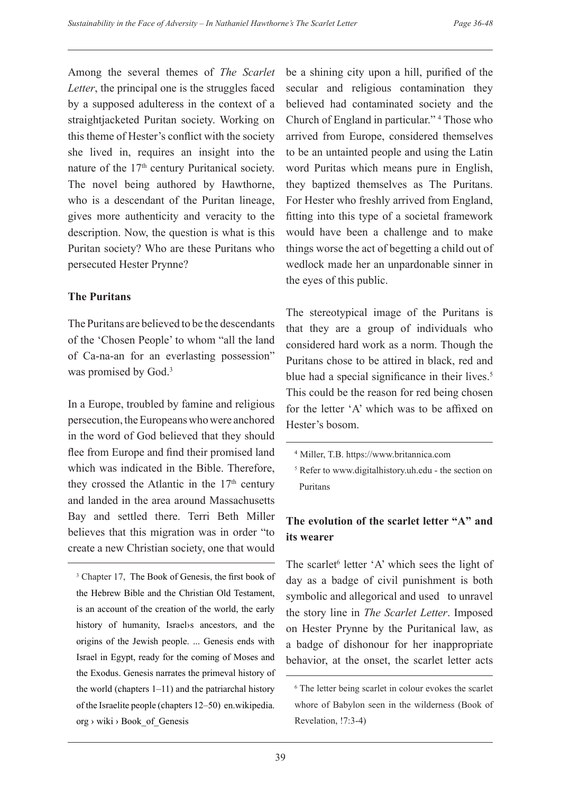Among the several themes of *The Scarlet Letter*, the principal one is the struggles faced by a supposed adulteress in the context of a straightjacketed Puritan society. Working on this theme of Hester's conflict with the society she lived in, requires an insight into the nature of the 17<sup>th</sup> century Puritanical society. The novel being authored by Hawthorne, who is a descendant of the Puritan lineage, gives more authenticity and veracity to the description. Now, the question is what is this Puritan society? Who are these Puritans who persecuted Hester Prynne?

## **The Puritans**

The Puritans are believed to be the descendants of the 'Chosen People' to whom "all the land of Ca-na-an for an everlasting possession" was promised by God.<sup>3</sup>

In a Europe, troubled by famine and religious persecution, the Europeans who were anchored in the word of God believed that they should flee from Europe and find their promised land which was indicated in the Bible. Therefore, they crossed the Atlantic in the  $17<sup>th</sup>$  century and landed in the area around Massachusetts Bay and settled there. Terri Beth Miller believes that this migration was in order "to create a new Christian society, one that would

be a shining city upon a hill, purified of the secular and religious contamination they believed had contaminated society and the Church of England in particular." 4 Those who arrived from Europe, considered themselves to be an untainted people and using the Latin word Puritas which means pure in English, they baptized themselves as The Puritans. For Hester who freshly arrived from England, fitting into this type of a societal framework would have been a challenge and to make things worse the act of begetting a child out of wedlock made her an unpardonable sinner in the eyes of this public.

The stereotypical image of the Puritans is that they are a group of individuals who considered hard work as a norm. Though the Puritans chose to be attired in black, red and blue had a special significance in their lives. $5$ This could be the reason for red being chosen for the letter 'A' which was to be affixed on Hester's bosom.

# **The evolution of the scarlet letter "A" and its wearer**

The scarlet<sup>6</sup> letter 'A' which sees the light of day as a badge of civil punishment is both symbolic and allegorical and used to unravel the story line in *The Scarlet Letter*. Imposed on Hester Prynne by the Puritanical law, as a badge of dishonour for her inappropriate behavior, at the onset, the scarlet letter acts

<sup>&</sup>lt;sup>3</sup> Chapter 17, The Book of Genesis, the first book of the Hebrew Bible and the Christian Old Testament, is an account of the creation of the world, the early history of humanity, Israel›s ancestors, and the origins of the Jewish people. ... Genesis ends with Israel in Egypt, ready for the coming of Moses and the Exodus. Genesis narrates the primeval history of the world (chapters 1–11) and the patriarchal history of the Israelite people (chapters 12–50) en.wikipedia. org › wiki › Book\_of\_Genesis

<sup>4</sup>Miller, T.B. https://www.britannica.com

<sup>5</sup> Refer to www.digitalhistory.uh.edu - the section on Puritans

<sup>6</sup> The letter being scarlet in colour evokes the scarlet whore of Babylon seen in the wilderness (Book of Revelation, !7:3-4)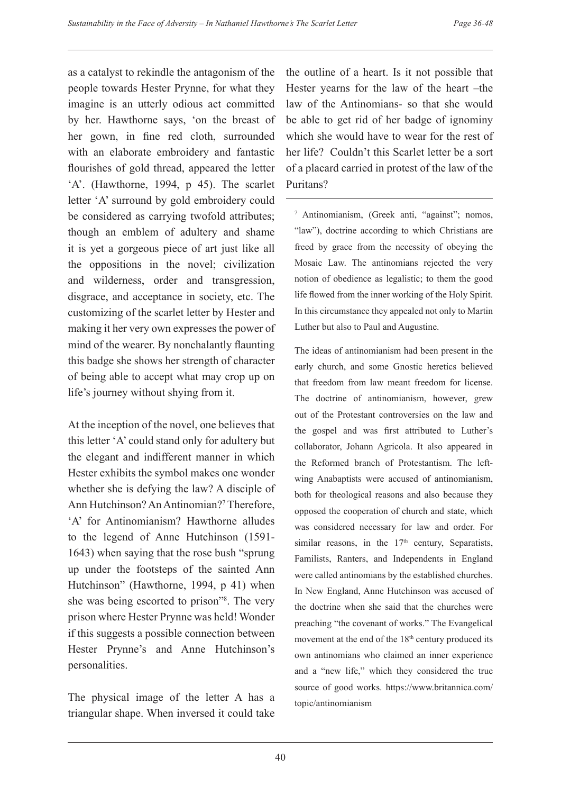as a catalyst to rekindle the antagonism of the people towards Hester Prynne, for what they imagine is an utterly odious act committed by her. Hawthorne says, 'on the breast of her gown, in fine red cloth, surrounded with an elaborate embroidery and fantastic flourishes of gold thread, appeared the letter 'A'. (Hawthorne, 1994, p 45). The scarlet letter 'A' surround by gold embroidery could be considered as carrying twofold attributes; though an emblem of adultery and shame it is yet a gorgeous piece of art just like all the oppositions in the novel; civilization and wilderness, order and transgression, disgrace, and acceptance in society, etc. The customizing of the scarlet letter by Hester and making it her very own expresses the power of mind of the wearer. By nonchalantly flaunting this badge she shows her strength of character of being able to accept what may crop up on life's journey without shying from it.

At the inception of the novel, one believes that this letter 'A' could stand only for adultery but the elegant and indifferent manner in which Hester exhibits the symbol makes one wonder whether she is defying the law? A disciple of Ann Hutchinson? An Antinomian?<sup>7</sup> Therefore, 'A' for Antinomianism? Hawthorne alludes to the legend of Anne Hutchinson (1591- 1643) when saying that the rose bush "sprung up under the footsteps of the sainted Ann Hutchinson" (Hawthorne, 1994, p 41) when she was being escorted to prison"8 . The very prison where Hester Prynne was held! Wonder if this suggests a possible connection between Hester Prynne's and Anne Hutchinson's personalities.

The physical image of the letter A has a triangular shape. When inversed it could take the outline of a heart. Is it not possible that Hester yearns for the law of the heart –the law of the Antinomians- so that she would be able to get rid of her badge of ignominy which she would have to wear for the rest of her life? Couldn't this Scarlet letter be a sort of a placard carried in protest of the law of the Puritans?

7 Antinomianism, (Greek anti, "against"; nomos, "law"), doctrine according to which Christians are freed by grace from the necessity of obeying the Mosaic Law. The antinomians rejected the very notion of obedience as legalistic; to them the good life flowed from the inner working of the Holy Spirit. In this circumstance they appealed not only to Martin Luther but also to Paul and Augustine.

The ideas of antinomianism had been present in the early church, and some Gnostic heretics believed that freedom from law meant freedom for license. The doctrine of antinomianism, however, grew out of the Protestant controversies on the law and the gospel and was first attributed to Luther's collaborator, Johann Agricola. It also appeared in the Reformed branch of Protestantism. The leftwing Anabaptists were accused of antinomianism, both for theological reasons and also because they opposed the cooperation of church and state, which was considered necessary for law and order. For similar reasons, in the  $17<sup>th</sup>$  century, Separatists, Familists, Ranters, and Independents in England were called antinomians by the established churches. In New England, Anne Hutchinson was accused of the doctrine when she said that the churches were preaching "the covenant of works." The Evangelical movement at the end of the 18<sup>th</sup> century produced its own antinomians who claimed an inner experience and a "new life," which they considered the true source of good works. https://www.britannica.com/ topic/antinomianism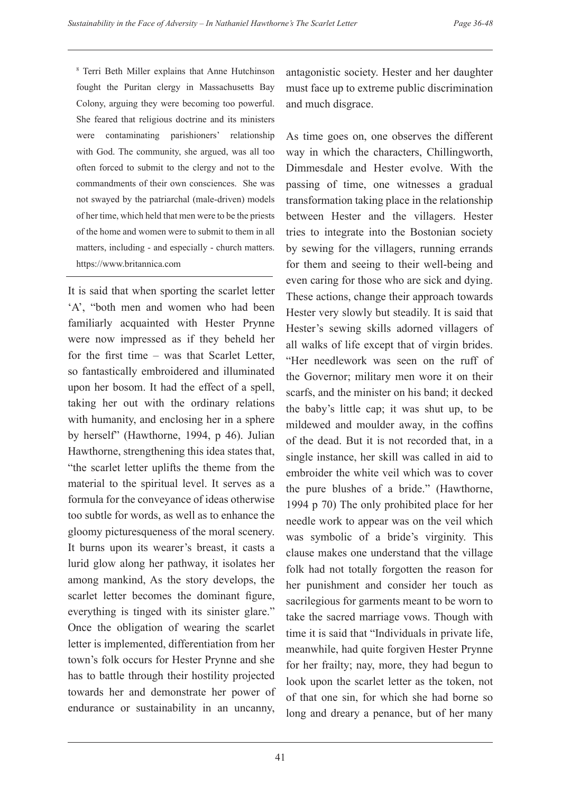8 Terri Beth Miller explains that Anne Hutchinson fought the Puritan clergy in Massachusetts Bay Colony, arguing they were becoming too powerful. She feared that religious doctrine and its ministers were contaminating parishioners' relationship with God. The community, she argued, was all too often forced to submit to the clergy and not to the commandments of their own consciences. She was not swayed by the patriarchal (male-driven) models of her time, which held that men were to be the priests of the home and women were to submit to them in all matters, including - and especially - church matters. https://www.britannica.com

It is said that when sporting the scarlet letter 'A', "both men and women who had been familiarly acquainted with Hester Prynne were now impressed as if they beheld her for the first time – was that Scarlet Letter, so fantastically embroidered and illuminated upon her bosom. It had the effect of a spell, taking her out with the ordinary relations with humanity, and enclosing her in a sphere by herself" (Hawthorne, 1994, p 46). Julian Hawthorne, strengthening this idea states that, "the scarlet letter uplifts the theme from the material to the spiritual level. It serves as a formula for the conveyance of ideas otherwise too subtle for words, as well as to enhance the gloomy picturesqueness of the moral scenery. It burns upon its wearer's breast, it casts a lurid glow along her pathway, it isolates her among mankind, As the story develops, the scarlet letter becomes the dominant figure, everything is tinged with its sinister glare." Once the obligation of wearing the scarlet letter is implemented, differentiation from her town's folk occurs for Hester Prynne and she has to battle through their hostility projected towards her and demonstrate her power of endurance or sustainability in an uncanny,

antagonistic society. Hester and her daughter must face up to extreme public discrimination and much disgrace.

As time goes on, one observes the different way in which the characters, Chillingworth, Dimmesdale and Hester evolve. With the passing of time, one witnesses a gradual transformation taking place in the relationship between Hester and the villagers. Hester tries to integrate into the Bostonian society by sewing for the villagers, running errands for them and seeing to their well-being and even caring for those who are sick and dying. These actions, change their approach towards Hester very slowly but steadily. It is said that Hester's sewing skills adorned villagers of all walks of life except that of virgin brides. "Her needlework was seen on the ruff of the Governor; military men wore it on their scarfs, and the minister on his band; it decked the baby's little cap; it was shut up, to be mildewed and moulder away, in the coffins of the dead. But it is not recorded that, in a single instance, her skill was called in aid to embroider the white veil which was to cover the pure blushes of a bride." (Hawthorne, 1994 p 70) The only prohibited place for her needle work to appear was on the veil which was symbolic of a bride's virginity. This clause makes one understand that the village folk had not totally forgotten the reason for her punishment and consider her touch as sacrilegious for garments meant to be worn to take the sacred marriage vows. Though with time it is said that "Individuals in private life, meanwhile, had quite forgiven Hester Prynne for her frailty; nay, more, they had begun to look upon the scarlet letter as the token, not of that one sin, for which she had borne so long and dreary a penance, but of her many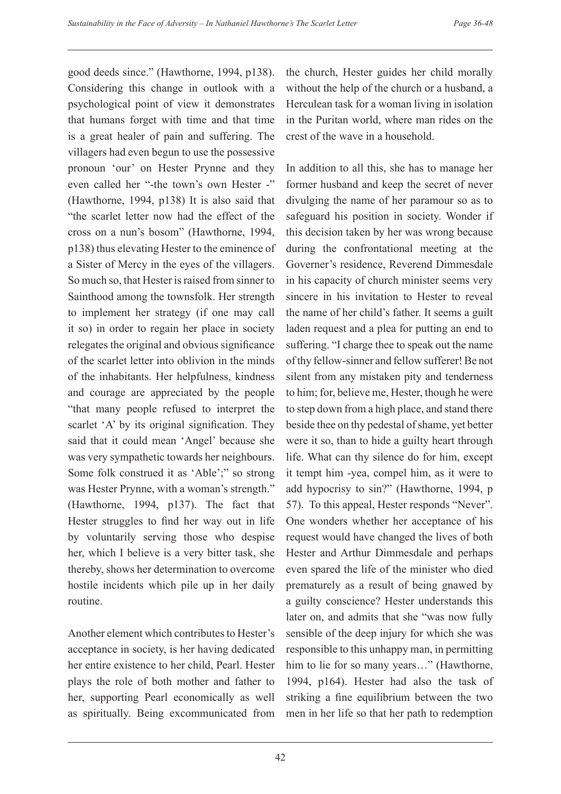good deeds since." (Hawthorne, 1994, p138). Considering this change in outlook with a psychological point of view it demonstrates that humans forget with time and that time is a great healer of pain and suffering. The villagers had even begun to use the possessive pronoun 'our' on Hester Prynne and they even called her "-the town's own Hester -" (Hawthorne, 1994, p138) It is also said that "the scarlet letter now had the effect of the cross on a nun's bosom" (Hawthorne, 1994, p138) thus elevating Hester to the eminence of a Sister of Mercy in the eyes of the villagers. So much so, that Hester is raised from sinner to Sainthood among the townsfolk. Her strength to implement her strategy (if one may call it so) in order to regain her place in society relegates the original and obvious significance of the scarlet letter into oblivion in the minds of the inhabitants. Her helpfulness, kindness and courage are appreciated by the people "that many people refused to interpret the scarlet 'A' by its original signification. They said that it could mean 'Angel' because she was very sympathetic towards her neighbours. Some folk construed it as 'Able';" so strong was Hester Prynne, with a woman's strength." (Hawthorne, 1994, p137). The fact that Hester struggles to find her way out in life by voluntarily serving those who despise her, which I believe is a very bitter task, she thereby, shows her determination to overcome hostile incidents which pile up in her daily routine.

Another element which contributes to Hester's acceptance in society, is her having dedicated her entire existence to her child, Pearl. Hester plays the role of both mother and father to her, supporting Pearl economically as well as spiritually. Being excommunicated from the church, Hester guides her child morally without the help of the church or a husband, a Herculean task for a woman living in isolation in the Puritan world, where man rides on the crest of the wave in a household.

In addition to all this, she has to manage her former husband and keep the secret of never divulging the name of her paramour so as to safeguard his position in society. Wonder if this decision taken by her was wrong because during the confrontational meeting at the Governer's residence, Reverend Dimmesdale in his capacity of church minister seems very sincere in his invitation to Hester to reveal the name of her child's father. It seems a guilt laden request and a plea for putting an end to suffering. "I charge thee to speak out the name of thy fellow-sinner and fellow sufferer! Be not silent from any mistaken pity and tenderness to him; for, believe me, Hester, though he were to step down from a high place, and stand there beside thee on thy pedestal of shame, yet better were it so, than to hide a guilty heart through life. What can thy silence do for him, except it tempt him -yea, compel him, as it were to add hypocrisy to sin?" (Hawthorne, 1994, p 57). To this appeal, Hester responds "Never". One wonders whether her acceptance of his request would have changed the lives of both Hester and Arthur Dimmesdale and perhaps even spared the life of the minister who died prematurely as a result of being gnawed by a guilty conscience? Hester understands this later on, and admits that she "was now fully sensible of the deep injury for which she was responsible to this unhappy man, in permitting him to lie for so many years..." (Hawthorne, 1994, p164). Hester had also the task of striking a fine equilibrium between the two men in her life so that her path to redemption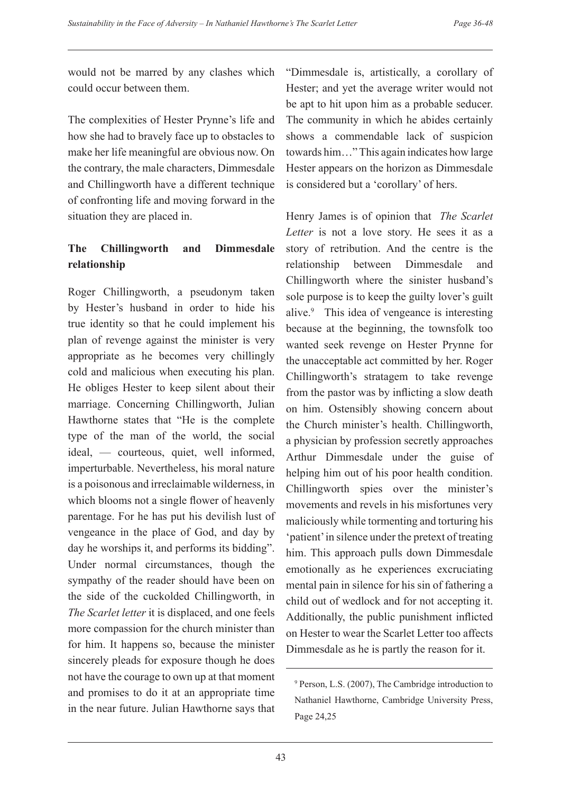would not be marred by any clashes which could occur between them.

The complexities of Hester Prynne's life and how she had to bravely face up to obstacles to make her life meaningful are obvious now. On the contrary, the male characters, Dimmesdale and Chillingworth have a different technique of confronting life and moving forward in the situation they are placed in.

## **The Chillingworth and Dimmesdale relationship**

Roger Chillingworth, a pseudonym taken by Hester's husband in order to hide his true identity so that he could implement his plan of revenge against the minister is very appropriate as he becomes very chillingly cold and malicious when executing his plan. He obliges Hester to keep silent about their marriage. Concerning Chillingworth, Julian Hawthorne states that "He is the complete type of the man of the world, the social ideal, — courteous, quiet, well informed, imperturbable. Nevertheless, his moral nature is a poisonous and irreclaimable wilderness, in which blooms not a single flower of heavenly parentage. For he has put his devilish lust of vengeance in the place of God, and day by day he worships it, and performs its bidding". Under normal circumstances, though the sympathy of the reader should have been on the side of the cuckolded Chillingworth, in *The Scarlet letter* it is displaced, and one feels more compassion for the church minister than for him. It happens so, because the minister sincerely pleads for exposure though he does not have the courage to own up at that moment and promises to do it at an appropriate time in the near future. Julian Hawthorne says that "Dimmesdale is, artistically, a corollary of Hester; and yet the average writer would not be apt to hit upon him as a probable seducer. The community in which he abides certainly shows a commendable lack of suspicion towards him…" This again indicates how large Hester appears on the horizon as Dimmesdale is considered but a 'corollary' of hers.

Henry James is of opinion that *The Scarlet Letter* is not a love story. He sees it as a story of retribution. And the centre is the relationship between Dimmesdale and Chillingworth where the sinister husband's sole purpose is to keep the guilty lover's guilt alive.9 This idea of vengeance is interesting because at the beginning, the townsfolk too wanted seek revenge on Hester Prynne for the unacceptable act committed by her. Roger Chillingworth's stratagem to take revenge from the pastor was by inflicting a slow death on him. Ostensibly showing concern about the Church minister's health. Chillingworth, a physician by profession secretly approaches Arthur Dimmesdale under the guise of helping him out of his poor health condition. Chillingworth spies over the minister's movements and revels in his misfortunes very maliciously while tormenting and torturing his 'patient' in silence under the pretext of treating him. This approach pulls down Dimmesdale emotionally as he experiences excruciating mental pain in silence for his sin of fathering a child out of wedlock and for not accepting it. Additionally, the public punishment inflicted on Hester to wear the Scarlet Letter too affects Dimmesdale as he is partly the reason for it.

<sup>9</sup> Person, L.S. (2007), The Cambridge introduction to Nathaniel Hawthorne, Cambridge University Press, Page 24,25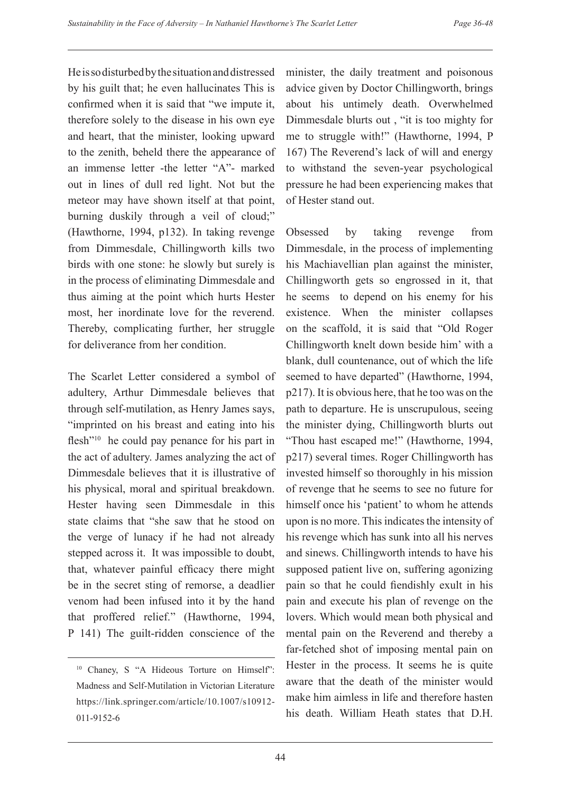He is so disturbed by the situation and distressed by his guilt that; he even hallucinates This is confirmed when it is said that "we impute it, therefore solely to the disease in his own eye and heart, that the minister, looking upward to the zenith, beheld there the appearance of an immense letter -the letter "A"- marked out in lines of dull red light. Not but the meteor may have shown itself at that point, burning duskily through a veil of cloud;" (Hawthorne, 1994, p132). In taking revenge from Dimmesdale, Chillingworth kills two birds with one stone: he slowly but surely is in the process of eliminating Dimmesdale and thus aiming at the point which hurts Hester most, her inordinate love for the reverend. Thereby, complicating further, her struggle for deliverance from her condition.

The Scarlet Letter considered a symbol of adultery, Arthur Dimmesdale believes that through self-mutilation, as Henry James says, "imprinted on his breast and eating into his flesh<sup>"10</sup> he could pay penance for his part in the act of adultery. James analyzing the act of Dimmesdale believes that it is illustrative of his physical, moral and spiritual breakdown. Hester having seen Dimmesdale in this state claims that "she saw that he stood on the verge of lunacy if he had not already stepped across it. It was impossible to doubt, that, whatever painful efficacy there might be in the secret sting of remorse, a deadlier venom had been infused into it by the hand that proffered relief." (Hawthorne, 1994, P 141) The guilt-ridden conscience of the

minister, the daily treatment and poisonous advice given by Doctor Chillingworth, brings about his untimely death. Overwhelmed Dimmesdale blurts out , "it is too mighty for me to struggle with!" (Hawthorne, 1994, P 167) The Reverend's lack of will and energy to withstand the seven-year psychological pressure he had been experiencing makes that of Hester stand out.

Obsessed by taking revenge from Dimmesdale, in the process of implementing his Machiavellian plan against the minister, Chillingworth gets so engrossed in it, that he seems to depend on his enemy for his existence. When the minister collapses on the scaffold, it is said that "Old Roger Chillingworth knelt down beside him' with a blank, dull countenance, out of which the life seemed to have departed" (Hawthorne, 1994, p217). It is obvious here, that he too was on the path to departure. He is unscrupulous, seeing the minister dying, Chillingworth blurts out "Thou hast escaped me!" (Hawthorne, 1994, p217) several times. Roger Chillingworth has invested himself so thoroughly in his mission of revenge that he seems to see no future for himself once his 'patient' to whom he attends upon is no more. This indicates the intensity of his revenge which has sunk into all his nerves and sinews. Chillingworth intends to have his supposed patient live on, suffering agonizing pain so that he could fiendishly exult in his pain and execute his plan of revenge on the lovers. Which would mean both physical and mental pain on the Reverend and thereby a far-fetched shot of imposing mental pain on Hester in the process. It seems he is quite aware that the death of the minister would make him aimless in life and therefore hasten his death. William Heath states that D.H.

<sup>&</sup>lt;sup>10</sup> Chaney, S "A Hideous Torture on Himself": Madness and Self-Mutilation in Victorian Literature https://link.springer.com/article/10.1007/s10912- 011-9152-6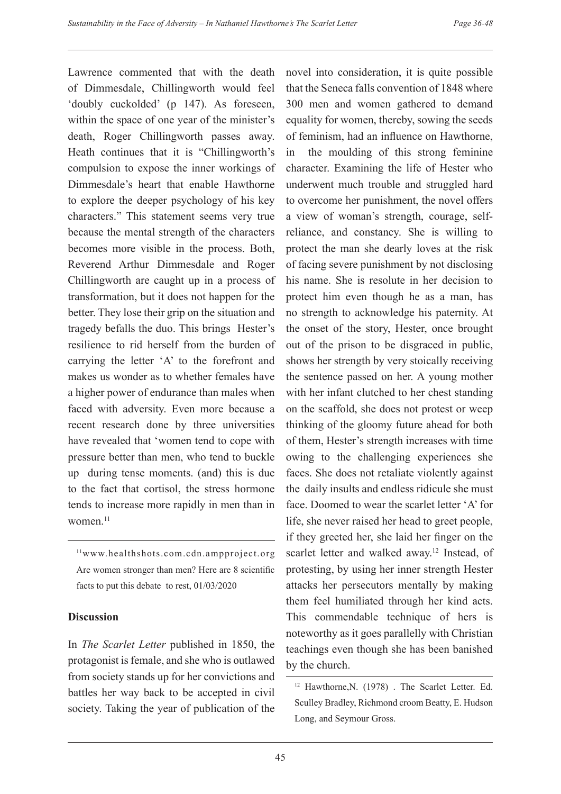Lawrence commented that with the death of Dimmesdale, Chillingworth would feel 'doubly cuckolded' (p 147). As foreseen, within the space of one year of the minister's death, Roger Chillingworth passes away. Heath continues that it is "Chillingworth's compulsion to expose the inner workings of Dimmesdale's heart that enable Hawthorne to explore the deeper psychology of his key characters." This statement seems very true because the mental strength of the characters becomes more visible in the process. Both, Reverend Arthur Dimmesdale and Roger Chillingworth are caught up in a process of transformation, but it does not happen for the better. They lose their grip on the situation and tragedy befalls the duo. This brings Hester's resilience to rid herself from the burden of carrying the letter 'A' to the forefront and makes us wonder as to whether females have a higher power of endurance than males when faced with adversity. Even more because a recent research done by three universities have revealed that 'women tend to cope with pressure better than men, who tend to buckle up during tense moments. (and) this is due to the fact that cortisol, the stress hormone tends to increase more rapidly in men than in women.<sup>11</sup>

11www.healthshots.com.cdn.ampproject.org Are women stronger than men? Here are 8 scientific facts to put this debate to rest, 01/03/2020

### **Discussion**

In *The Scarlet Letter* published in 1850, the protagonist is female, and she who is outlawed from society stands up for her convictions and battles her way back to be accepted in civil society. Taking the year of publication of the novel into consideration, it is quite possible that the Seneca falls convention of 1848 where 300 men and women gathered to demand equality for women, thereby, sowing the seeds of feminism, had an influence on Hawthorne, in the moulding of this strong feminine character. Examining the life of Hester who underwent much trouble and struggled hard to overcome her punishment, the novel offers a view of woman's strength, courage, selfreliance, and constancy. She is willing to protect the man she dearly loves at the risk of facing severe punishment by not disclosing his name. She is resolute in her decision to protect him even though he as a man, has no strength to acknowledge his paternity. At the onset of the story, Hester, once brought out of the prison to be disgraced in public, shows her strength by very stoically receiving the sentence passed on her. A young mother with her infant clutched to her chest standing on the scaffold, she does not protest or weep thinking of the gloomy future ahead for both of them, Hester's strength increases with time owing to the challenging experiences she faces. She does not retaliate violently against the daily insults and endless ridicule she must face. Doomed to wear the scarlet letter 'A' for life, she never raised her head to greet people, if they greeted her, she laid her finger on the scarlet letter and walked away.<sup>12</sup> Instead, of protesting, by using her inner strength Hester attacks her persecutors mentally by making them feel humiliated through her kind acts. This commendable technique of hers is noteworthy as it goes parallelly with Christian teachings even though she has been banished by the church.

<sup>12</sup> Hawthorne,N. (1978) . The Scarlet Letter. Ed. Sculley Bradley, Richmond croom Beatty, E. Hudson Long, and Seymour Gross.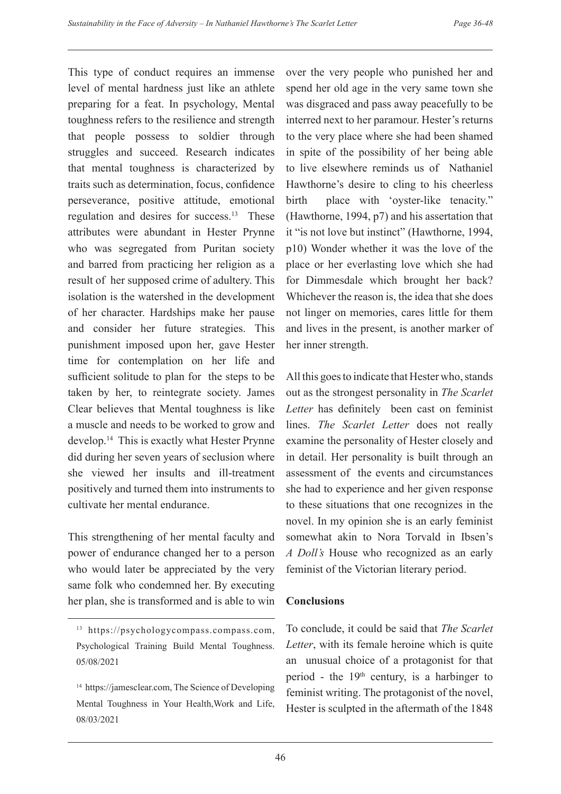This type of conduct requires an immense level of mental hardness just like an athlete preparing for a feat. In psychology, Mental toughness refers to the resilience and strength that people possess to soldier through struggles and succeed. Research indicates that mental toughness is characterized by traits such as determination, focus, confidence perseverance, positive attitude, emotional regulation and desires for success.13 These attributes were abundant in Hester Prynne who was segregated from Puritan society and barred from practicing her religion as a result of her supposed crime of adultery. This isolation is the watershed in the development of her character. Hardships make her pause and consider her future strategies. This punishment imposed upon her, gave Hester time for contemplation on her life and sufficient solitude to plan for the steps to be taken by her, to reintegrate society. James Clear believes that Mental toughness is like a muscle and needs to be worked to grow and develop.14 This is exactly what Hester Prynne did during her seven years of seclusion where she viewed her insults and ill-treatment positively and turned them into instruments to cultivate her mental endurance.

This strengthening of her mental faculty and power of endurance changed her to a person who would later be appreciated by the very same folk who condemned her. By executing her plan, she is transformed and is able to win

over the very people who punished her and spend her old age in the very same town she was disgraced and pass away peacefully to be interred next to her paramour. Hester's returns to the very place where she had been shamed in spite of the possibility of her being able to live elsewhere reminds us of Nathaniel Hawthorne's desire to cling to his cheerless birth place with 'oyster-like tenacity." (Hawthorne, 1994, p7) and his assertation that it "is not love but instinct" (Hawthorne, 1994, p10) Wonder whether it was the love of the place or her everlasting love which she had for Dimmesdale which brought her back? Whichever the reason is, the idea that she does not linger on memories, cares little for them and lives in the present, is another marker of her inner strength.

All this goes to indicate that Hester who, stands out as the strongest personality in *The Scarlet Letter* has definitely been cast on feminist lines. *The Scarlet Letter* does not really examine the personality of Hester closely and in detail. Her personality is built through an assessment of the events and circumstances she had to experience and her given response to these situations that one recognizes in the novel. In my opinion she is an early feminist somewhat akin to Nora Torvald in Ibsen's *A Doll's* House who recognized as an early feminist of the Victorian literary period.

## **Conclusions**

To conclude, it could be said that *The Scarlet Letter*, with its female heroine which is quite an unusual choice of a protagonist for that period - the  $19<sup>th</sup>$  century, is a harbinger to feminist writing. The protagonist of the novel, Hester is sculpted in the aftermath of the 1848

<sup>&</sup>lt;sup>13</sup> https://psychologycompass.compass.com, Psychological Training Build Mental Toughness. 05/08/2021

<sup>&</sup>lt;sup>14</sup> https://jamesclear.com, The Science of Developing Mental Toughness in Your Health,Work and Life, 08/03/2021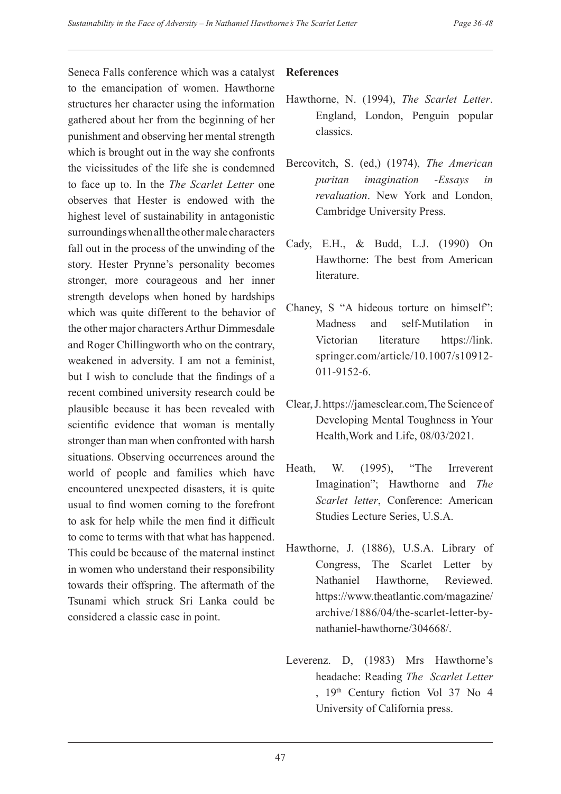Seneca Falls conference which was a catalyst to the emancipation of women. Hawthorne structures her character using the information gathered about her from the beginning of her punishment and observing her mental strength which is brought out in the way she confronts the vicissitudes of the life she is condemned to face up to. In the *The Scarlet Letter* one observes that Hester is endowed with the highest level of sustainability in antagonistic surroundings when all the other male characters fall out in the process of the unwinding of the story. Hester Prynne's personality becomes stronger, more courageous and her inner strength develops when honed by hardships which was quite different to the behavior of the other major characters Arthur Dimmesdale and Roger Chillingworth who on the contrary, weakened in adversity. I am not a feminist, but I wish to conclude that the findings of a recent combined university research could be plausible because it has been revealed with scientific evidence that woman is mentally stronger than man when confronted with harsh situations. Observing occurrences around the world of people and families which have encountered unexpected disasters, it is quite usual to find women coming to the forefront to ask for help while the men find it difficult to come to terms with that what has happened. This could be because of the maternal instinct in women who understand their responsibility towards their offspring. The aftermath of the Tsunami which struck Sri Lanka could be considered a classic case in point.

## **References**

- Hawthorne, N. (1994), *The Scarlet Letter*. England, London, Penguin popular classics.
- Bercovitch, S. (ed,) (1974), *The American puritan imagination -Essays in revaluation*. New York and London, Cambridge University Press.
- Cady, E.H., & Budd, L.J. (1990) On Hawthorne: The best from American **literature**
- Chaney, S "A hideous torture on himself": Madness and self-Mutilation in Victorian literature https://link. springer.com/article/10.1007/s10912- 011-9152-6.
- Clear, J. https://jamesclear.com, The Science of Developing Mental Toughness in Your Health,Work and Life, 08/03/2021.
- Heath, W. (1995), "The Irreverent Imagination"; Hawthorne and *The Scarlet letter*, Conference: American Studies Lecture Series, U.S.A.
- Hawthorne, J. (1886), U.S.A. Library of Congress, The Scarlet Letter by Nathaniel Hawthorne, Reviewed. https://www.theatlantic.com/magazine/ archive/1886/04/the-scarlet-letter-bynathaniel-hawthorne/304668/.
- Leverenz. D, (1983) Mrs Hawthorne's headache: Reading *The Scarlet Letter* , 19th Century fiction Vol 37 No 4 University of California press.